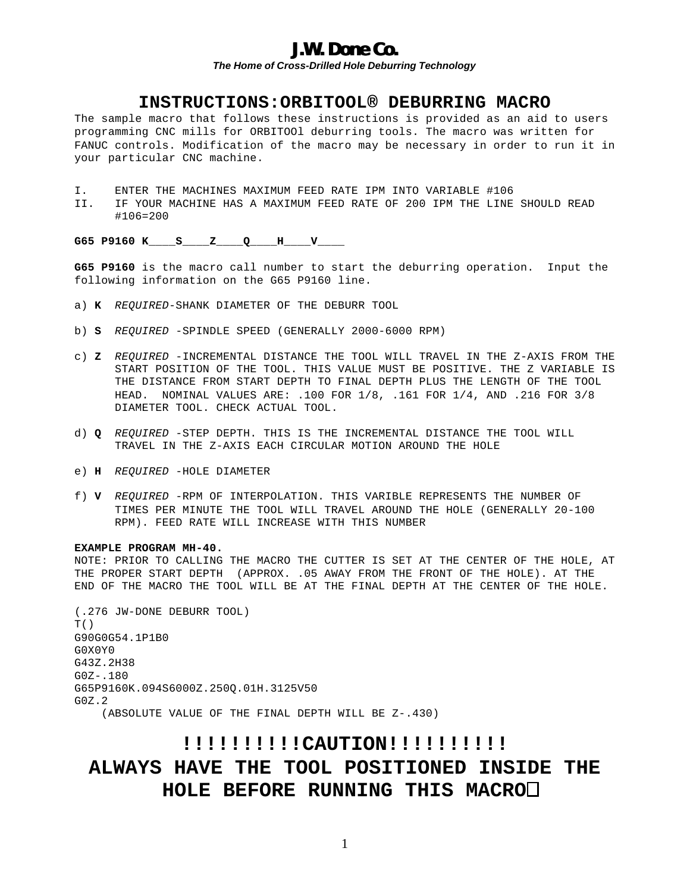## **J.W. Done Co.**

*The Home of Cross-Drilled Hole Deburring Technology*

### **INSTRUCTIONS:ORBITOOL® DEBURRING MACRO**

The sample macro that follows these instructions is provided as an aid to users programming CNC mills for ORBITOOl deburring tools. The macro was written for FANUC controls. Modification of the macro may be necessary in order to run it in your particular CNC machine.

- I. ENTER THE MACHINES MAXIMUM FEED RATE IPM INTO VARIABLE #106
- II. IF YOUR MACHINE HAS A MAXIMUM FEED RATE OF 200 IPM THE LINE SHOULD READ #106=200

**G65 P9160 K\_\_\_\_S\_\_\_\_Z\_\_\_\_Q\_\_\_\_H\_\_\_\_V\_\_\_\_**

**G65 P9160** is the macro call number to start the deburring operation. Input the following information on the G65 P9160 line.

- a) **K** *REQUIRED*-SHANK DIAMETER OF THE DEBURR TOOL
- b) **S** *REQUIRED* -SPINDLE SPEED (GENERALLY 2000-6000 RPM)
- c) **Z** *REQUIRED* -INCREMENTAL DISTANCE THE TOOL WILL TRAVEL IN THE Z-AXIS FROM THE START POSITION OF THE TOOL. THIS VALUE MUST BE POSITIVE. THE Z VARIABLE IS THE DISTANCE FROM START DEPTH TO FINAL DEPTH PLUS THE LENGTH OF THE TOOL HEAD. NOMINAL VALUES ARE: .100 FOR 1/8, .161 FOR 1/4, AND .216 FOR 3/8 DIAMETER TOOL. CHECK ACTUAL TOOL.
- d) **Q** *REQUIRED* -STEP DEPTH. THIS IS THE INCREMENTAL DISTANCE THE TOOL WILL TRAVEL IN THE Z-AXIS EACH CIRCULAR MOTION AROUND THE HOLE
- e) **H** *REQUIRED* -HOLE DIAMETER
- f) **V** *REQUIRED* -RPM OF INTERPOLATION. THIS VARIBLE REPRESENTS THE NUMBER OF TIMES PER MINUTE THE TOOL WILL TRAVEL AROUND THE HOLE (GENERALLY 20-100 RPM). FEED RATE WILL INCREASE WITH THIS NUMBER

#### **EXAMPLE PROGRAM MH-40.**

NOTE: PRIOR TO CALLING THE MACRO THE CUTTER IS SET AT THE CENTER OF THE HOLE, AT THE PROPER START DEPTH (APPROX. .05 AWAY FROM THE FRONT OF THE HOLE). AT THE END OF THE MACRO THE TOOL WILL BE AT THE FINAL DEPTH AT THE CENTER OF THE HOLE.

(.276 JW-DONE DEBURR TOOL) T() G90G0G54.1P1B0 G0X0Y0 G43Z.2H38 G0Z-.180 G65P9160K.094S6000Z.250Q.01H.3125V50 G0Z.2 (ABSOLUTE VALUE OF THE FINAL DEPTH WILL BE Z-.430)

# **!!!!!!!!!!CAUTION!!!!!!!!!! ALWAYS HAVE THE TOOL POSITIONED INSIDE THE HOLE BEFORE RUNNING THIS MACRO**